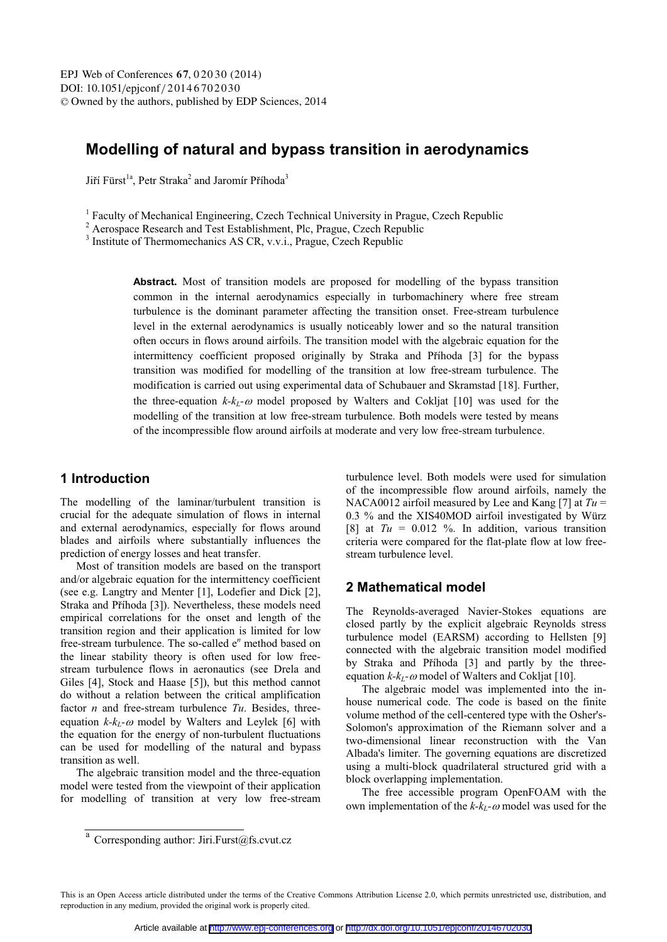# **Modelling of natural and bypass transition in aerodynamics**

Jiří Fürst<sup>1a</sup>, Petr Straka<sup>2</sup> and Jaromír Příhoda<sup>3</sup>

 $\frac{1}{2}$  Faculty of Mechanical Engineering, Czech Technical University in Prague, Czech Republic  $\frac{2}{3}$  Agreemee Research and Test Establishment. Ble Prague, Czech Republic

<sup>2</sup> Aerospace Research and Test Establishment, Plc, Prague, Czech Republic

<sup>3</sup> Institute of Thermomechanics AS CR, v.v.i., Prague, Czech Republic

**Abstract.** Most of transition models are proposed for modelling of the bypass transition common in the internal aerodynamics especially in turbomachinery where free stream turbulence is the dominant parameter affecting the transition onset. Free-stream turbulence level in the external aerodynamics is usually noticeably lower and so the natural transition often occurs in flows around airfoils. The transition model with the algebraic equation for the intermittency coefficient proposed originally by Straka and Příhoda [3] for the bypass transition was modified for modelling of the transition at low free-stream turbulence. The modification is carried out using experimental data of Schubauer and Skramstad [18]. Further, the three-equation  $k-k_L$ - $\omega$  model proposed by Walters and Cokljat [10] was used for the modelling of the transition at low free-stream turbulence. Both models were tested by means of the incompressible flow around airfoils at moderate and very low free-stream turbulence.

# **1 Introduction**

The modelling of the laminar/turbulent transition is crucial for the adequate simulation of flows in internal and external aerodynamics, especially for flows around blades and airfoils where substantially influences the prediction of energy losses and heat transfer.

Most of transition models are based on the transport and/or algebraic equation for the intermittency coefficient (see e.g. Langtry and Menter [1], Lodefier and Dick [2], Straka and Příhoda [3]). Nevertheless, these models need empirical correlations for the onset and length of the transition region and their application is limited for low free-stream turbulence. The so-called e<sup>n</sup> method based on the linear stability theory is often used for low freestream turbulence flows in aeronautics (see Drela and Giles [4], Stock and Haase [5]), but this method cannot do without a relation between the critical amplification factor *n* and free-stream turbulence *Tu*. Besides, threeequation  $k-k_L$ - $\omega$  model by Walters and Leylek [6] with the equation for the energy of non-turbulent fluctuations can be used for modelling of the natural and bypass transition as well.

The algebraic transition model and the three-equation model were tested from the viewpoint of their application for modelling of transition at very low free-stream

turbulence level. Both models were used for simulation of the incompressible flow around airfoils, namely the NACA0012 airfoil measured by Lee and Kang [7] at *Tu* = 0.3 % and the XIS40MOD airfoil investigated by Würz [8] at  $Tu = 0.012$  %. In addition, various transition criteria were compared for the flat-plate flow at low freestream turbulence level.

# **2 Mathematical model**

The Reynolds-averaged Navier-Stokes equations are closed partly by the explicit algebraic Reynolds stress turbulence model (EARSM) according to Hellsten [9] connected with the algebraic transition model modified by Straka and Příhoda [3] and partly by the threeequation  $k-k_L$ - $\omega$  model of Walters and Cokljat [10].

The algebraic model was implemented into the inhouse numerical code. The code is based on the finite volume method of the cell-centered type with the Osher's-Solomon's approximation of the Riemann solver and a two-dimensional linear reconstruction with the Van Albada's limiter. The governing equations are discretized using a multi-block quadrilateral structured grid with a block overlapping implementation.

The free accessible program OpenFOAM with the own implementation of the  $k-k_L$ - $\omega$  model was used for the

 $\overline{a}$  Corresponding author: Jiri.Furst@fs.cvut.cz

This is an Open Access article distributed under the terms of the Creative Commons Attribution License 2.0, which permits unrestricted use, distribution, and reproduction in any medium, provided the original work is properly cited.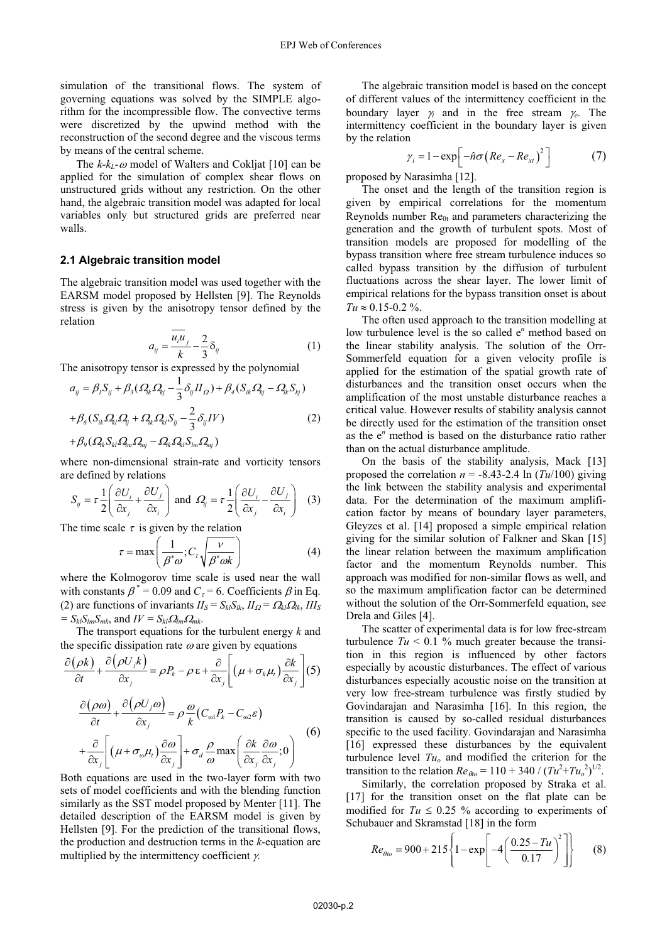simulation of the transitional flows. The system of governing equations was solved by the SIMPLE algorithm for the incompressible flow. The convective terms were discretized by the upwind method with the reconstruction of the second degree and the viscous terms by means of the central scheme.

The  $k$ - $k_L$ - $\omega$  model of Walters and Cokljat [10] can be applied for the simulation of complex shear flows on unstructured grids without any restriction. On the other hand, the algebraic transition model was adapted for local variables only but structured grids are preferred near walls.

#### **2.1 Algebraic transition model**

The algebraic transition model was used together with the EARSM model proposed by Hellsten [9]. The Reynolds stress is given by the anisotropy tensor defined by the relation

$$
a_{ij} = \frac{\overline{u_i u_j}}{k} - \frac{2}{3} \delta_{ij}
$$
 (1)

The anisotropy tensor is expressed by the polynomial

$$
a_{ij} = \beta_l S_{ij} + \beta_3 (\Omega_{ik} \Omega_{kj} - \frac{1}{3} \delta_{ij} H_{\Omega}) + \beta_4 (S_{ik} \Omega_{kj} - \Omega_{ik} S_{kj})
$$
  
+  $\beta_6 (S_{ik} \Omega_{kl} \Omega_{lj} + \Omega_{ik} \Omega_{kl} S_{lj} - \frac{2}{3} \delta_{ij} IV)$   
+  $\beta_9 (\Omega_{ik} S_{kl} \Omega_{lm} \Omega_{mj} - \Omega_{ik} \Omega_{kl} S_{lm} \Omega_{mj})$  (2)

where non-dimensional strain-rate and vorticity tensors are defined by relations

$$
S_{ij} = \tau \frac{1}{2} \left( \frac{\partial U_i}{\partial x_j} + \frac{\partial U_j}{\partial x_i} \right) \text{ and } \Omega_{ij} = \tau \frac{1}{2} \left( \frac{\partial U_i}{\partial x_j} - \frac{\partial U_j}{\partial x_i} \right) \tag{3}
$$

The time scale  $\tau$  is given by the relation

$$
\tau = \max\left(\frac{1}{\beta^* \omega}; C_{\tau} \sqrt{\frac{V}{\beta^* \omega k}}\right) \tag{4}
$$

where the Kolmogorov time scale is used near the wall with constants  $\beta^* = 0.09$  and  $C_\tau = 6$ . Coefficients  $\beta$  in Eq. (2) are functions of invariants  $II_S = S_{kl}S_{lk}$ ,  $II_{\Omega} = \Omega_{kl}\Omega_{lk}$ ,  $III_S$  $= S_{kl}S_{lm}S_{mk}$ , and  $IV = S_{kl}Q_{lm}Q_{mk}$ .

The transport equations for the turbulent energy *k* and the specific dissipation rate  $\omega$  are given by equations

$$
\frac{\partial(\rho k)}{\partial t} + \frac{\partial(\rho U_j k)}{\partial x_j} = \rho P_k - \rho \varepsilon + \frac{\partial}{\partial x_j} \left[ (\mu + \sigma_k \mu_t) \frac{\partial k}{\partial x_j} \right] (5)
$$

$$
\frac{\partial(\rho \omega)}{\partial t} + \frac{\partial(\rho U_j \omega)}{\partial x_j} = \rho \frac{\omega}{k} (C_{\omega 1} P_k - C_{\omega 2} \varepsilon)
$$

$$
+\frac{\partial}{\partial x_j}\left[\left(\mu+\sigma_\omega\mu_t\right)\frac{\partial\omega}{\partial x_j}\right]+\sigma_d\frac{\rho}{\omega}\max\left(\frac{\partial k}{\partial x_j}\frac{\partial\omega}{\partial x_j};0\right)
$$
(6)

Both equations are used in the two-layer form with two sets of model coefficients and with the blending function similarly as the SST model proposed by Menter [11]. The detailed description of the EARSM model is given by Hellsten [9]. For the prediction of the transitional flows, the production and destruction terms in the *k*-equation are multiplied by the intermittency coefficient  $\gamma$ .

The algebraic transition model is based on the concept of different values of the intermittency coefficient in the boundary layer  $\gamma_i$  and in the free stream  $\gamma_e$ . The intermittency coefficient in the boundary layer is given by the relation

$$
\gamma_i = 1 - \exp\left[-\hat{n}\sigma\left(Re_x - Re_{xt}\right)^2\right]
$$
 (7)

proposed by Narasimha [12].

The onset and the length of the transition region is given by empirical correlations for the momentum Reynolds number  $\text{Re}_{\theta t}$  and parameters characterizing the generation and the growth of turbulent spots. Most of transition models are proposed for modelling of the bypass transition where free stream turbulence induces so called bypass transition by the diffusion of turbulent fluctuations across the shear layer. The lower limit of empirical relations for the bypass transition onset is about  $Tu \approx 0.15 - 0.2 \%$ .

The often used approach to the transition modelling at low turbulence level is the so called e<sup>n</sup> method based on the linear stability analysis. The solution of the Orr-Sommerfeld equation for a given velocity profile is applied for the estimation of the spatial growth rate of disturbances and the transition onset occurs when the amplification of the most unstable disturbance reaches a critical value. However results of stability analysis cannot be directly used for the estimation of the transition onset as the e*<sup>n</sup>* method is based on the disturbance ratio rather than on the actual disturbance amplitude.

On the basis of the stability analysis, Mack [13] proposed the correlation  $n = -8.43 - 2.4$  ln ( $Tu/100$ ) giving the link between the stability analysis and experimental data. For the determination of the maximum amplification factor by means of boundary layer parameters, Gleyzes et al. [14] proposed a simple empirical relation giving for the similar solution of Falkner and Skan [15] the linear relation between the maximum amplification factor and the momentum Reynolds number. This approach was modified for non-similar flows as well, and so the maximum amplification factor can be determined without the solution of the Orr-Sommerfeld equation, see Drela and Giles [4].

The scatter of experimental data is for low free-stream turbulence  $Tu < 0.1$  % much greater because the transition in this region is influenced by other factors especially by acoustic disturbances. The effect of various disturbances especially acoustic noise on the transition at very low free-stream turbulence was firstly studied by Govindarajan and Narasimha [16]. In this region, the transition is caused by so-called residual disturbances specific to the used facility. Govindarajan and Narasimha [16] expressed these disturbances by the equivalent turbulence level  $Tu<sub>o</sub>$  and modified the criterion for the transition to the relation  $Re_{\theta_0} = 110 + 340 / (Tu^2 + Tu_o^2)^{1/2}$ .

Similarly, the correlation proposed by Straka et al. [17] for the transition onset on the flat plate can be modified for  $Tu \leq 0.25$  % according to experiments of Schubauer and Skramstad [18] in the form

$$
Re_{\theta_{10}} = 900 + 215 \left\{ 1 - \exp\left[ -4 \left( \frac{0.25 - Tu}{0.17} \right)^2 \right] \right\}
$$
 (8)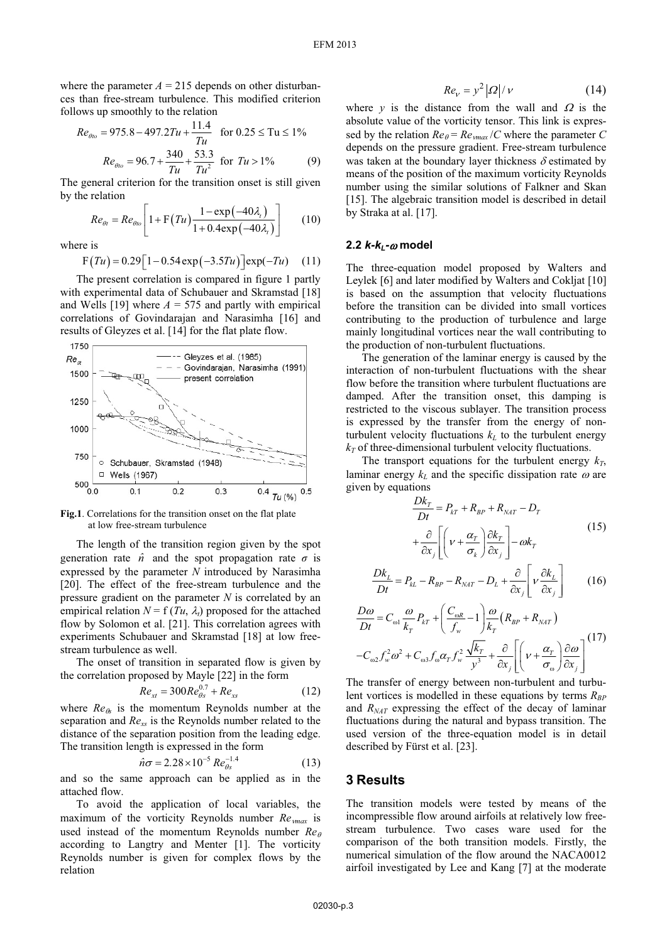where the parameter  $A = 215$  depends on other disturbances than free-stream turbulence. This modified criterion follows up smoothly to the relation

$$
Re_{\theta_{l0}} = 975.8 - 497.2Tu + \frac{11.4}{Tu} \quad \text{for } 0.25 \leq Tu \leq 1\%
$$
\n
$$
Re_{\theta_{l0}} = 96.7 + \frac{340}{Tu} + \frac{53.3}{Tu^2} \quad \text{for } Tu > 1\%
$$
\n
$$
(9)
$$

The general criterion for the transition onset is still given by the relation

$$
Re_{\theta t} = Re_{\theta t} \left[ 1 + F\left(Tu\right) \frac{1 - \exp(-40\lambda_{t})}{1 + 0.4 \exp(-40\lambda_{t})} \right] \tag{10}
$$

where is

$$
F(Tu) = 0.29[1 - 0.54 \exp(-3.5Tu)]\exp(-Tu)
$$
 (11)

The present correlation is compared in figure 1 partly with experimental data of Schubauer and Skramstad [18] and Wells [19] where  $A = 575$  and partly with empirical correlations of Govindarajan and Narasimha [16] and results of Gleyzes et al. [14] for the flat plate flow.



**Fig.1**. Correlations for the transition onset on the flat plate at low free-stream turbulence

The length of the transition region given by the spot generation rate  $\hat{n}$  and the spot propagation rate  $\sigma$  is expressed by the parameter *N* introduced by Narasimha [20]. The effect of the free-stream turbulence and the pressure gradient on the parameter *N* is correlated by an empirical relation  $N = f(Tu, \lambda_t)$  proposed for the attached flow by Solomon et al. [21]. This correlation agrees with experiments Schubauer and Skramstad [18] at low freestream turbulence as well.

The onset of transition in separated flow is given by the correlation proposed by Mayle [22] in the form

$$
Re_{xt} = 300Re_{\theta s}^{0.7} + Re_{xs}
$$
 (12)

where  $Re<sub>α</sub>$  is the momentum Reynolds number at the separation and *Rexs* is the Reynolds number related to the distance of the separation position from the leading edge. The transition length is expressed in the form

$$
\hat{n}\sigma = 2.28 \times 10^{-5} Re_{\theta s}^{-1.4}
$$
 (13)

and so the same approach can be applied as in the attached flow.

To avoid the application of local variables, the maximum of the vorticity Reynolds number *Remax* is used instead of the momentum Reynolds number *Re* according to Langtry and Menter [1]. The vorticity Reynolds number is given for complex flows by the relation

$$
Re_{v} = y^{2} |\Omega| / v \tag{14}
$$

where  $y$  is the distance from the wall and  $\Omega$  is the absolute value of the vorticity tensor. This link is expressed by the relation  $Re_\theta = Re_{\nu max}/C$  where the parameter C depends on the pressure gradient. Free-stream turbulence was taken at the boundary layer thickness  $\delta$  estimated by means of the position of the maximum vorticity Reynolds number using the similar solutions of Falkner and Skan [15]. The algebraic transition model is described in detail by Straka at al. [17].

# 2.2 *k-k<sub>L</sub>-@* model

The three-equation model proposed by Walters and Leylek [6] and later modified by Walters and Cokljat [10] is based on the assumption that velocity fluctuations before the transition can be divided into small vortices contributing to the production of turbulence and large mainly longitudinal vortices near the wall contributing to the production of non-turbulent fluctuations.

The generation of the laminar energy is caused by the interaction of non-turbulent fluctuations with the shear flow before the transition where turbulent fluctuations are damped. After the transition onset, this damping is restricted to the viscous sublayer. The transition process is expressed by the transfer from the energy of nonturbulent velocity fluctuations  $k<sub>L</sub>$  to the turbulent energy  $k_T$  of three-dimensional turbulent velocity fluctuations.

The transport equations for the turbulent energy  $k_T$ , laminar energy  $k<sub>L</sub>$  and the specific dissipation rate  $\omega$  are given by equations

$$
\frac{Dk_T}{Dt} = P_{kT} + R_{BP} + R_{NAT} - D_T
$$

$$
+ \frac{\partial}{\partial x_j} \left[ \left( v + \frac{\alpha_T}{\sigma_k} \right) \frac{\partial k_T}{\partial x_j} \right] - \omega k_T
$$
(15)

$$
\frac{Dk_L}{Dt} = P_{kL} - R_{BP} - R_{NAT} - D_L + \frac{\partial}{\partial x_j} \left[ v \frac{\partial k_L}{\partial x_j} \right] \tag{16}
$$

$$
\frac{D\omega}{Dt} = C_{\omega 1} \frac{\omega}{k_T} P_{kT} + \left(\frac{C_{\omega R}}{f_w} - 1\right) \frac{\omega}{k_T} \left(R_{BP} + R_{NAT}\right)
$$

$$
-C_{\omega 2} f_w^2 \omega^2 + C_{\omega 3} f_\omega \alpha_T f_w^2 \frac{\sqrt{k_T}}{y^3} + \frac{\partial}{\partial x_j} \left[ \left(\nu + \frac{\alpha_T}{\sigma_\omega}\right) \frac{\partial \omega}{\partial x_j} \right]^{(17)}
$$

The transfer of energy between non-turbulent and turbulent vortices is modelled in these equations by terms  $R_{BP}$ and *RNAT* expressing the effect of the decay of laminar fluctuations during the natural and bypass transition. The used version of the three-equation model is in detail described by Fürst et al. [23].

### **3 Results**

The transition models were tested by means of the incompressible flow around airfoils at relatively low freestream turbulence. Two cases ware used for the comparison of the both transition models. Firstly, the numerical simulation of the flow around the NACA0012 airfoil investigated by Lee and Kang [7] at the moderate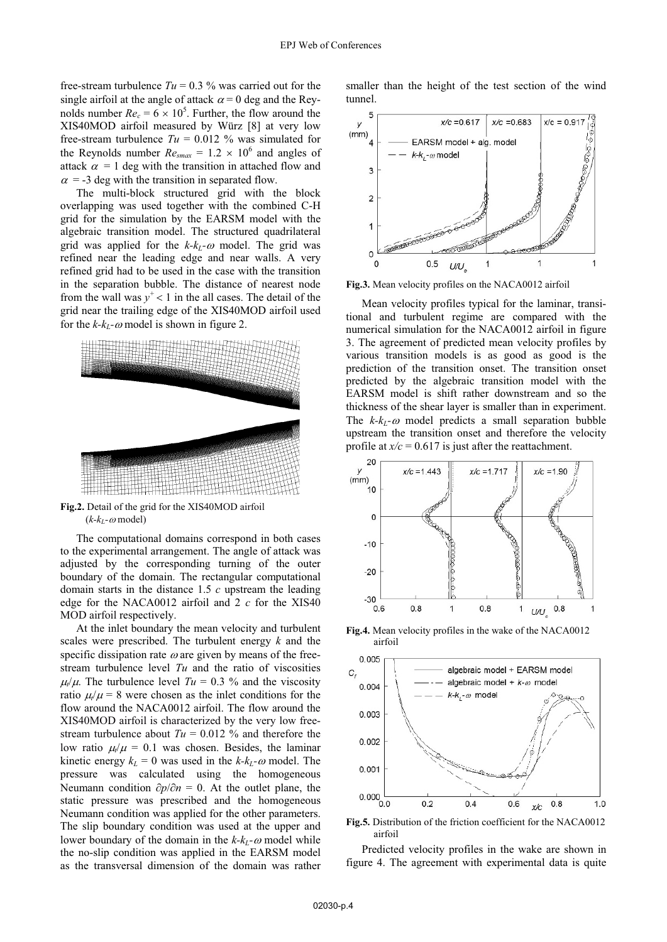free-stream turbulence  $Tu = 0.3$  % was carried out for the single airfoil at the angle of attack  $\alpha = 0$  deg and the Reynolds number  $Re_c = 6 \times 10^5$ . Further, the flow around the XIS40MOD airfoil measured by Würz [8] at very low free-stream turbulence  $Tu = 0.012$  % was simulated for the Reynolds number  $Re_{smax} = 1.2 \times 10^6$  and angles of attack  $\alpha = 1$  deg with the transition in attached flow and  $\alpha$  = -3 deg with the transition in separated flow.

The multi-block structured grid with the block overlapping was used together with the combined C-H grid for the simulation by the EARSM model with the algebraic transition model. The structured quadrilateral grid was applied for the  $k-k_L$ - $\omega$  model. The grid was refined near the leading edge and near walls. A very refined grid had to be used in the case with the transition in the separation bubble. The distance of nearest node from the wall was  $y^+$  < 1 in the all cases. The detail of the grid near the trailing edge of the XIS40MOD airfoil used for the  $k-k_L$ - $\omega$  model is shown in figure 2.



**Fig.2.** Detail of the grid for the XIS40MOD airfoil  $(k-k_L$ - $\omega$  model)

The computational domains correspond in both cases to the experimental arrangement. The angle of attack was adjusted by the corresponding turning of the outer boundary of the domain. The rectangular computational domain starts in the distance 1.5 *c* upstream the leading edge for the NACA0012 airfoil and 2 *c* for the XIS40 MOD airfoil respectively.

At the inlet boundary the mean velocity and turbulent scales were prescribed. The turbulent energy *k* and the specific dissipation rate  $\omega$  are given by means of the freestream turbulence level *Tu* and the ratio of viscosities  $\mu/\mu$ . The turbulence level  $Tu = 0.3$  % and the viscosity ratio  $\mu/\mu = 8$  were chosen as the inlet conditions for the flow around the NACA0012 airfoil. The flow around the XIS40MOD airfoil is characterized by the very low freestream turbulence about  $Tu = 0.012$  % and therefore the low ratio  $\mu/\mu = 0.1$  was chosen. Besides, the laminar kinetic energy  $k_L = 0$  was used in the  $k$ - $k_L$ - $\omega$  model. The pressure was calculated using the homogeneous Neumann condition  $\partial p / \partial n = 0$ . At the outlet plane, the static pressure was prescribed and the homogeneous Neumann condition was applied for the other parameters. The slip boundary condition was used at the upper and lower boundary of the domain in the  $k-k_L$ - $\omega$  model while the no-slip condition was applied in the EARSM model as the transversal dimension of the domain was rather

smaller than the height of the test section of the wind tunnel.



**Fig.3.** Mean velocity profiles on the NACA0012 airfoil

Mean velocity profiles typical for the laminar, transitional and turbulent regime are compared with the numerical simulation for the NACA0012 airfoil in figure 3. The agreement of predicted mean velocity profiles by various transition models is as good as good is the prediction of the transition onset. The transition onset predicted by the algebraic transition model with the EARSM model is shift rather downstream and so the thickness of the shear layer is smaller than in experiment. The  $k-k_L$ - $\omega$  model predicts a small separation bubble upstream the transition onset and therefore the velocity profile at  $x/c = 0.617$  is just after the reattachment.



**Fig.4.** Mean velocity profiles in the wake of the NACA0012 airfoil



**Fig.5.** Distribution of the friction coefficient for the NACA0012 airfoil

Predicted velocity profiles in the wake are shown in figure 4. The agreement with experimental data is quite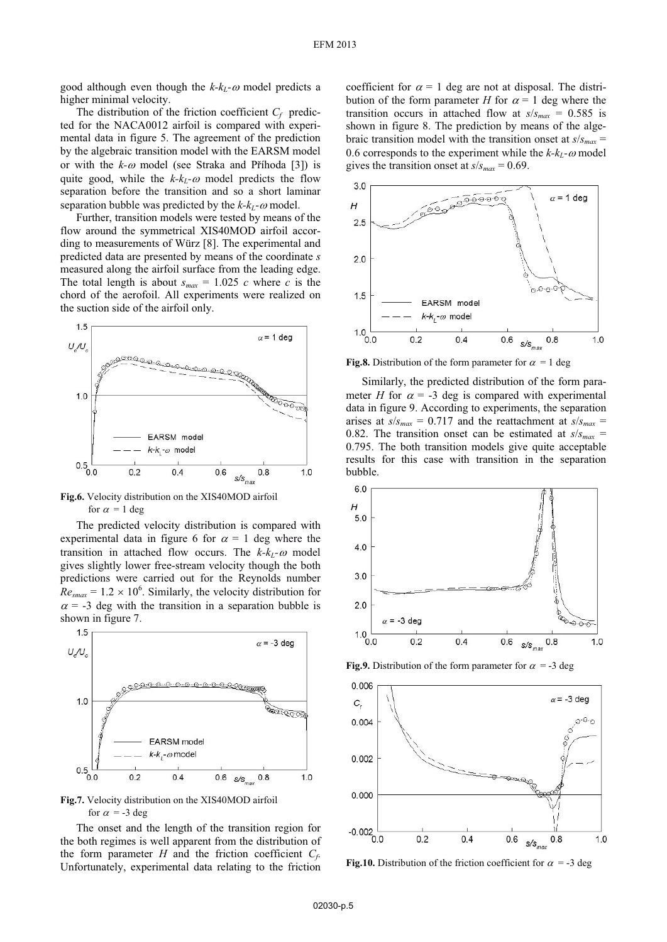good although even though the  $k-k_L$ - $\omega$  model predicts a higher minimal velocity.

The distribution of the friction coefficient  $C_f$  predicted for the NACA0012 airfoil is compared with experimental data in figure 5. The agreement of the prediction by the algebraic transition model with the EARSM model or with the  $k-\omega$  model (see Straka and Prihoda [3]) is quite good, while the  $k-k_L$ - $\omega$  model predicts the flow separation before the transition and so a short laminar separation bubble was predicted by the  $k-k_L$ - $\omega$  model.

Further, transition models were tested by means of the flow around the symmetrical XIS40MOD airfoil according to measurements of Würz [8]. The experimental and predicted data are presented by means of the coordinate *s* measured along the airfoil surface from the leading edge. The total length is about  $s_{max} = 1.025$  *c* where *c* is the chord of the aerofoil. All experiments were realized on the suction side of the airfoil only.



**Fig.6.** Velocity distribution on the XIS40MOD airfoil for  $\alpha = 1$  deg

The predicted velocity distribution is compared with experimental data in figure 6 for  $\alpha = 1$  deg where the transition in attached flow occurs. The  $k-k_L$ - $\omega$  model gives slightly lower free-stream velocity though the both predictions were carried out for the Reynolds number  $Re_{smax} = 1.2 \times 10^6$ . Similarly, the velocity distribution for  $\alpha$  = -3 deg with the transition in a separation bubble is shown in figure 7.





The onset and the length of the transition region for the both regimes is well apparent from the distribution of the form parameter  $H$  and the friction coefficient  $C_f$ . Unfortunately, experimental data relating to the friction

coefficient for  $\alpha = 1$  deg are not at disposal. The distribution of the form parameter *H* for  $\alpha = 1$  deg where the transition occurs in attached flow at  $s/s_{max} = 0.585$  is shown in figure 8. The prediction by means of the algebraic transition model with the transition onset at  $s/s_{max}$  = 0.6 corresponds to the experiment while the  $k-k_L$ - $\omega$  model gives the transition onset at  $s/s_{max} = 0.69$ .



**Fig.8.** Distribution of the form parameter for  $\alpha = 1$  deg

Similarly, the predicted distribution of the form parameter *H* for  $\alpha$  = -3 deg is compared with experimental data in figure 9. According to experiments, the separation arises at  $s/s_{max} = 0.717$  and the reattachment at  $s/s_{max} =$ 0.82. The transition onset can be estimated at  $s/s_{max}$  = 0.795. The both transition models give quite acceptable results for this case with transition in the separation bubble.



**Fig.9.** Distribution of the form parameter for  $\alpha = -3$  deg



**Fig.10.** Distribution of the friction coefficient for  $\alpha = -3$  deg